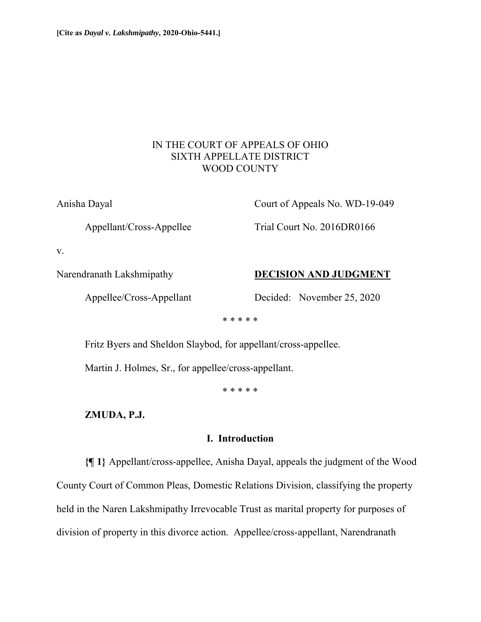# IN THE COURT OF APPEALS OF OHIO SIXTH APPELLATE DISTRICT WOOD COUNTY

Anisha Dayal Court of Appeals No. WD-19-049

Appellant/Cross-Appellee Trial Court No. 2016DR0166

v.

### Narendranath Lakshmipathy **DECISION AND JUDGMENT**

Appellee/Cross-Appellant Decided: November 25, 2020

\* \* \* \* \*

Fritz Byers and Sheldon Slaybod, for appellant/cross-appellee.

Martin J. Holmes, Sr., for appellee/cross-appellant.

\* \* \* \* \*

**ZMUDA, P.J.** 

## **I. Introduction**

**{¶ 1}** Appellant/cross-appellee, Anisha Dayal, appeals the judgment of the Wood County Court of Common Pleas, Domestic Relations Division, classifying the property held in the Naren Lakshmipathy Irrevocable Trust as marital property for purposes of division of property in this divorce action. Appellee/cross-appellant, Narendranath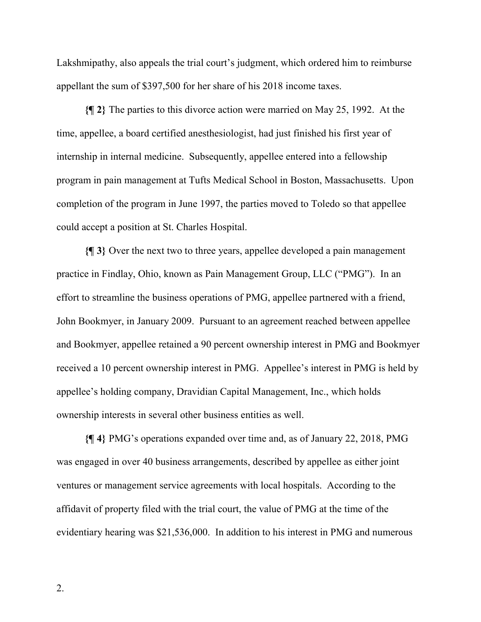Lakshmipathy, also appeals the trial court's judgment, which ordered him to reimburse appellant the sum of \$397,500 for her share of his 2018 income taxes.

**{¶ 2}** The parties to this divorce action were married on May 25, 1992. At the time, appellee, a board certified anesthesiologist, had just finished his first year of internship in internal medicine. Subsequently, appellee entered into a fellowship program in pain management at Tufts Medical School in Boston, Massachusetts. Upon completion of the program in June 1997, the parties moved to Toledo so that appellee could accept a position at St. Charles Hospital.

**{¶ 3}** Over the next two to three years, appellee developed a pain management practice in Findlay, Ohio, known as Pain Management Group, LLC ("PMG"). In an effort to streamline the business operations of PMG, appellee partnered with a friend, John Bookmyer, in January 2009. Pursuant to an agreement reached between appellee and Bookmyer, appellee retained a 90 percent ownership interest in PMG and Bookmyer received a 10 percent ownership interest in PMG. Appellee's interest in PMG is held by appellee's holding company, Dravidian Capital Management, Inc., which holds ownership interests in several other business entities as well.

**{¶ 4}** PMG's operations expanded over time and, as of January 22, 2018, PMG was engaged in over 40 business arrangements, described by appellee as either joint ventures or management service agreements with local hospitals. According to the affidavit of property filed with the trial court, the value of PMG at the time of the evidentiary hearing was \$21,536,000. In addition to his interest in PMG and numerous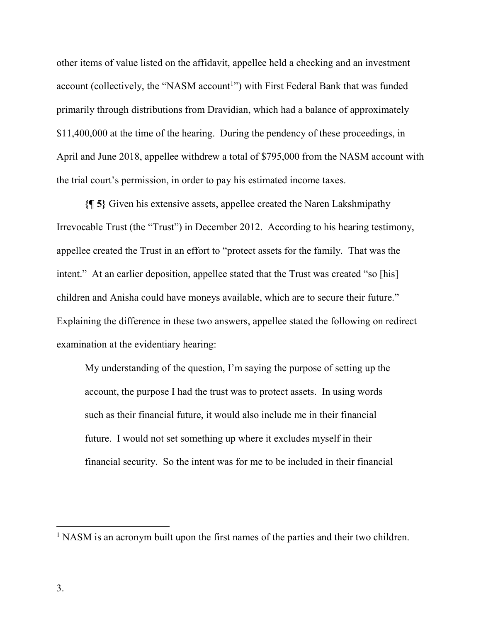other items of value listed on the affidavit, appellee held a checking and an investment account (collectively, the "NASM account<sup>1</sup>") with First Federal Bank that was funded primarily through distributions from Dravidian, which had a balance of approximately \$11,400,000 at the time of the hearing. During the pendency of these proceedings, in April and June 2018, appellee withdrew a total of \$795,000 from the NASM account with the trial court's permission, in order to pay his estimated income taxes.

**{¶ 5}** Given his extensive assets, appellee created the Naren Lakshmipathy Irrevocable Trust (the "Trust") in December 2012. According to his hearing testimony, appellee created the Trust in an effort to "protect assets for the family. That was the intent." At an earlier deposition, appellee stated that the Trust was created "so [his] children and Anisha could have moneys available, which are to secure their future." Explaining the difference in these two answers, appellee stated the following on redirect examination at the evidentiary hearing:

My understanding of the question, I'm saying the purpose of setting up the account, the purpose I had the trust was to protect assets. In using words such as their financial future, it would also include me in their financial future. I would not set something up where it excludes myself in their financial security. So the intent was for me to be included in their financial

 $\overline{a}$ 

<sup>&</sup>lt;sup>1</sup> NASM is an acronym built upon the first names of the parties and their two children.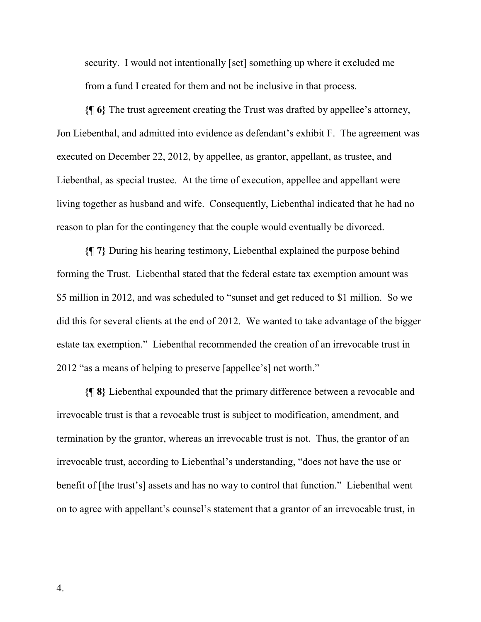security. I would not intentionally [set] something up where it excluded me from a fund I created for them and not be inclusive in that process.

**{¶ 6}** The trust agreement creating the Trust was drafted by appellee's attorney, Jon Liebenthal, and admitted into evidence as defendant's exhibit F. The agreement was executed on December 22, 2012, by appellee, as grantor, appellant, as trustee, and Liebenthal, as special trustee. At the time of execution, appellee and appellant were living together as husband and wife. Consequently, Liebenthal indicated that he had no reason to plan for the contingency that the couple would eventually be divorced.

**{¶ 7}** During his hearing testimony, Liebenthal explained the purpose behind forming the Trust. Liebenthal stated that the federal estate tax exemption amount was \$5 million in 2012, and was scheduled to "sunset and get reduced to \$1 million. So we did this for several clients at the end of 2012. We wanted to take advantage of the bigger estate tax exemption." Liebenthal recommended the creation of an irrevocable trust in 2012 "as a means of helping to preserve [appellee's] net worth."

**{¶ 8}** Liebenthal expounded that the primary difference between a revocable and irrevocable trust is that a revocable trust is subject to modification, amendment, and termination by the grantor, whereas an irrevocable trust is not. Thus, the grantor of an irrevocable trust, according to Liebenthal's understanding, "does not have the use or benefit of [the trust's] assets and has no way to control that function." Liebenthal went on to agree with appellant's counsel's statement that a grantor of an irrevocable trust, in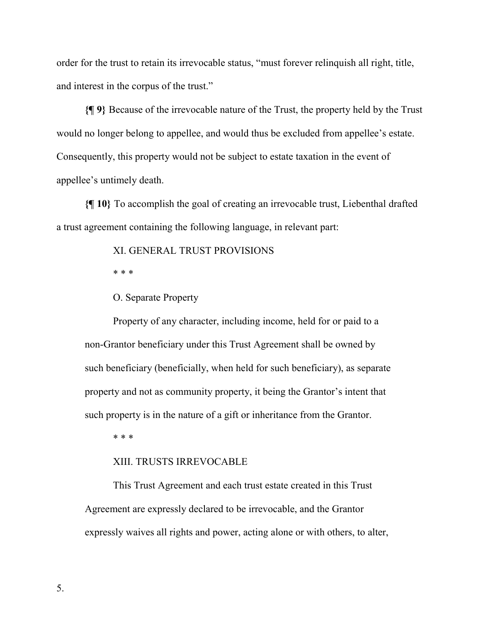order for the trust to retain its irrevocable status, "must forever relinquish all right, title, and interest in the corpus of the trust."

**{¶ 9}** Because of the irrevocable nature of the Trust, the property held by the Trust would no longer belong to appellee, and would thus be excluded from appellee's estate. Consequently, this property would not be subject to estate taxation in the event of appellee's untimely death.

**{¶ 10}** To accomplish the goal of creating an irrevocable trust, Liebenthal drafted a trust agreement containing the following language, in relevant part:

XI. GENERAL TRUST PROVISIONS

\* \* \*

O. Separate Property

Property of any character, including income, held for or paid to a non-Grantor beneficiary under this Trust Agreement shall be owned by such beneficiary (beneficially, when held for such beneficiary), as separate property and not as community property, it being the Grantor's intent that such property is in the nature of a gift or inheritance from the Grantor.

\* \* \*

### XIII. TRUSTS IRREVOCABLE

This Trust Agreement and each trust estate created in this Trust Agreement are expressly declared to be irrevocable, and the Grantor expressly waives all rights and power, acting alone or with others, to alter,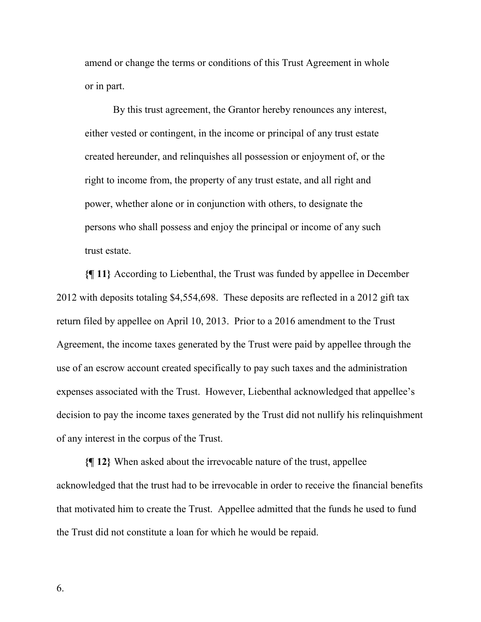amend or change the terms or conditions of this Trust Agreement in whole or in part.

By this trust agreement, the Grantor hereby renounces any interest, either vested or contingent, in the income or principal of any trust estate created hereunder, and relinquishes all possession or enjoyment of, or the right to income from, the property of any trust estate, and all right and power, whether alone or in conjunction with others, to designate the persons who shall possess and enjoy the principal or income of any such trust estate.

**{¶ 11}** According to Liebenthal, the Trust was funded by appellee in December 2012 with deposits totaling \$4,554,698. These deposits are reflected in a 2012 gift tax return filed by appellee on April 10, 2013. Prior to a 2016 amendment to the Trust Agreement, the income taxes generated by the Trust were paid by appellee through the use of an escrow account created specifically to pay such taxes and the administration expenses associated with the Trust. However, Liebenthal acknowledged that appellee's decision to pay the income taxes generated by the Trust did not nullify his relinquishment of any interest in the corpus of the Trust.

**{¶ 12}** When asked about the irrevocable nature of the trust, appellee acknowledged that the trust had to be irrevocable in order to receive the financial benefits that motivated him to create the Trust. Appellee admitted that the funds he used to fund the Trust did not constitute a loan for which he would be repaid.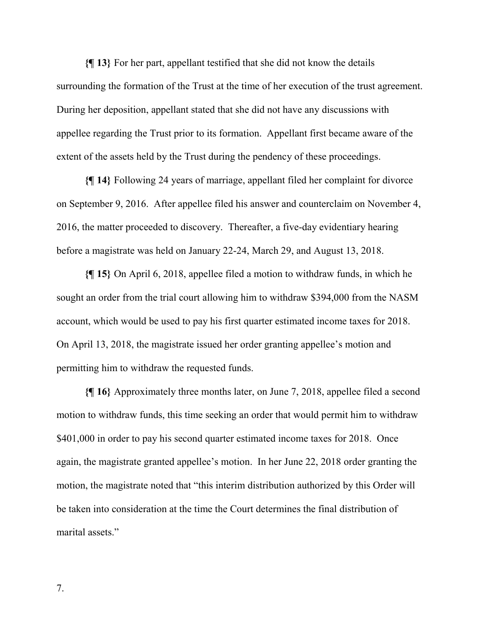**{¶ 13}** For her part, appellant testified that she did not know the details surrounding the formation of the Trust at the time of her execution of the trust agreement. During her deposition, appellant stated that she did not have any discussions with appellee regarding the Trust prior to its formation. Appellant first became aware of the extent of the assets held by the Trust during the pendency of these proceedings.

**{¶ 14}** Following 24 years of marriage, appellant filed her complaint for divorce on September 9, 2016. After appellee filed his answer and counterclaim on November 4, 2016, the matter proceeded to discovery. Thereafter, a five-day evidentiary hearing before a magistrate was held on January 22-24, March 29, and August 13, 2018.

**{¶ 15}** On April 6, 2018, appellee filed a motion to withdraw funds, in which he sought an order from the trial court allowing him to withdraw \$394,000 from the NASM account, which would be used to pay his first quarter estimated income taxes for 2018. On April 13, 2018, the magistrate issued her order granting appellee's motion and permitting him to withdraw the requested funds.

**{¶ 16}** Approximately three months later, on June 7, 2018, appellee filed a second motion to withdraw funds, this time seeking an order that would permit him to withdraw \$401,000 in order to pay his second quarter estimated income taxes for 2018. Once again, the magistrate granted appellee's motion. In her June 22, 2018 order granting the motion, the magistrate noted that "this interim distribution authorized by this Order will be taken into consideration at the time the Court determines the final distribution of marital assets."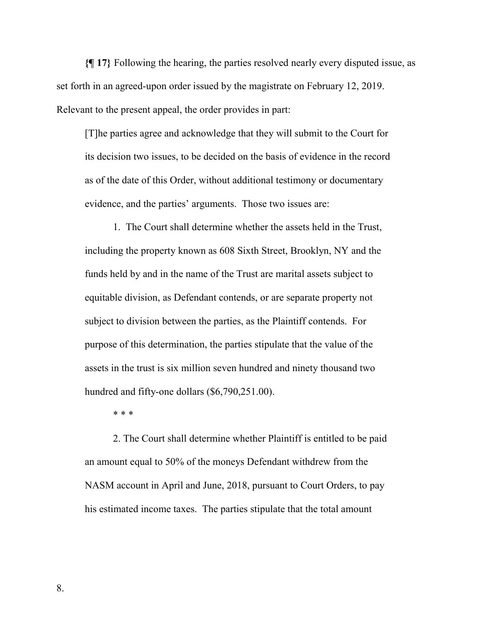**{¶ 17}** Following the hearing, the parties resolved nearly every disputed issue, as set forth in an agreed-upon order issued by the magistrate on February 12, 2019. Relevant to the present appeal, the order provides in part:

[T]he parties agree and acknowledge that they will submit to the Court for its decision two issues, to be decided on the basis of evidence in the record as of the date of this Order, without additional testimony or documentary evidence, and the parties' arguments. Those two issues are:

1. The Court shall determine whether the assets held in the Trust, including the property known as 608 Sixth Street, Brooklyn, NY and the funds held by and in the name of the Trust are marital assets subject to equitable division, as Defendant contends, or are separate property not subject to division between the parties, as the Plaintiff contends. For purpose of this determination, the parties stipulate that the value of the assets in the trust is six million seven hundred and ninety thousand two hundred and fifty-one dollars (\$6,790,251.00).

\* \* \*

2. The Court shall determine whether Plaintiff is entitled to be paid an amount equal to 50% of the moneys Defendant withdrew from the NASM account in April and June, 2018, pursuant to Court Orders, to pay his estimated income taxes. The parties stipulate that the total amount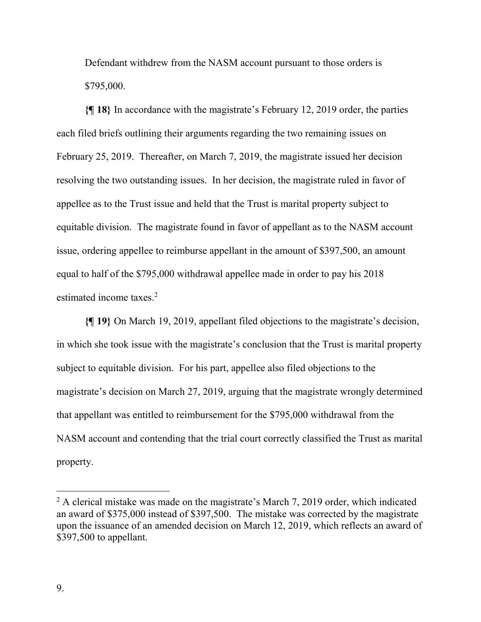Defendant withdrew from the NASM account pursuant to those orders is \$795,000.

**{¶ 18}** In accordance with the magistrate's February 12, 2019 order, the parties each filed briefs outlining their arguments regarding the two remaining issues on February 25, 2019. Thereafter, on March 7, 2019, the magistrate issued her decision resolving the two outstanding issues. In her decision, the magistrate ruled in favor of appellee as to the Trust issue and held that the Trust is marital property subject to equitable division. The magistrate found in favor of appellant as to the NASM account issue, ordering appellee to reimburse appellant in the amount of \$397,500, an amount equal to half of the \$795,000 withdrawal appellee made in order to pay his 2018 estimated income taxes.<sup>2</sup>

**{¶ 19}** On March 19, 2019, appellant filed objections to the magistrate's decision, in which she took issue with the magistrate's conclusion that the Trust is marital property subject to equitable division. For his part, appellee also filed objections to the magistrate's decision on March 27, 2019, arguing that the magistrate wrongly determined that appellant was entitled to reimbursement for the \$795,000 withdrawal from the NASM account and contending that the trial court correctly classified the Trust as marital property.

 $\overline{a}$ 

 $2$  A clerical mistake was made on the magistrate's March 7, 2019 order, which indicated an award of \$375,000 instead of \$397,500. The mistake was corrected by the magistrate upon the issuance of an amended decision on March 12, 2019, which reflects an award of \$397,500 to appellant.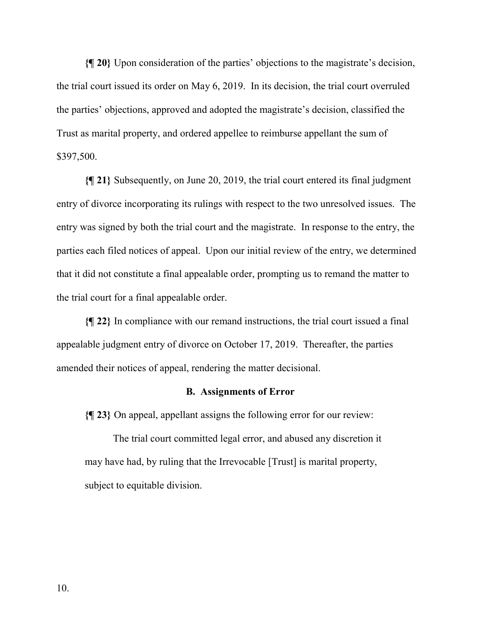**{¶ 20}** Upon consideration of the parties' objections to the magistrate's decision, the trial court issued its order on May 6, 2019. In its decision, the trial court overruled the parties' objections, approved and adopted the magistrate's decision, classified the Trust as marital property, and ordered appellee to reimburse appellant the sum of \$397,500.

**{¶ 21}** Subsequently, on June 20, 2019, the trial court entered its final judgment entry of divorce incorporating its rulings with respect to the two unresolved issues. The entry was signed by both the trial court and the magistrate. In response to the entry, the parties each filed notices of appeal. Upon our initial review of the entry, we determined that it did not constitute a final appealable order, prompting us to remand the matter to the trial court for a final appealable order.

**{¶ 22}** In compliance with our remand instructions, the trial court issued a final appealable judgment entry of divorce on October 17, 2019. Thereafter, the parties amended their notices of appeal, rendering the matter decisional.

#### **B. Assignments of Error**

**{¶ 23}** On appeal, appellant assigns the following error for our review:

The trial court committed legal error, and abused any discretion it may have had, by ruling that the Irrevocable [Trust] is marital property, subject to equitable division.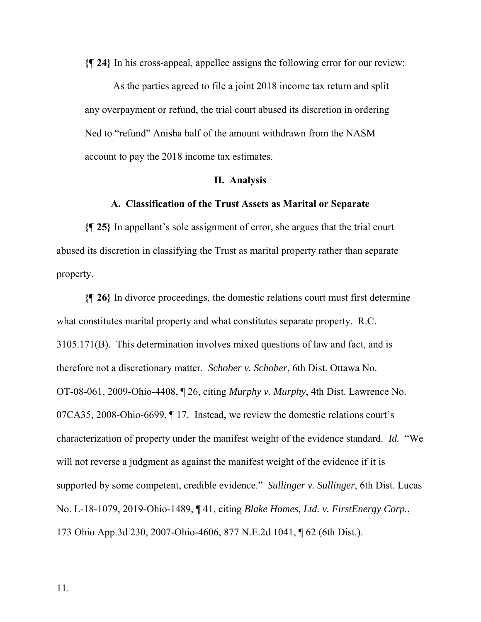**{¶ 24}** In his cross-appeal, appellee assigns the following error for our review:

As the parties agreed to file a joint 2018 income tax return and split any overpayment or refund, the trial court abused its discretion in ordering Ned to "refund" Anisha half of the amount withdrawn from the NASM account to pay the 2018 income tax estimates.

#### **II. Analysis**

### **A. Classification of the Trust Assets as Marital or Separate**

**{¶ 25}** In appellant's sole assignment of error, she argues that the trial court abused its discretion in classifying the Trust as marital property rather than separate property.

**{¶ 26}** In divorce proceedings, the domestic relations court must first determine what constitutes marital property and what constitutes separate property. R.C. 3105.171(B). This determination involves mixed questions of law and fact, and is therefore not a discretionary matter. *Schober v. Schober*, 6th Dist. Ottawa No. OT-08-061, 2009-Ohio-4408, ¶ 26, citing *Murphy v. Murphy*, 4th Dist. Lawrence No. 07CA35, 2008-Ohio-6699, ¶ 17. Instead, we review the domestic relations court's characterization of property under the manifest weight of the evidence standard. *Id.* "We will not reverse a judgment as against the manifest weight of the evidence if it is supported by some competent, credible evidence." *Sullinger v. Sullinger*, 6th Dist. Lucas No. L-18-1079, 2019-Ohio-1489, ¶ 41, citing *Blake Homes, Ltd. v. FirstEnergy Corp.*, 173 Ohio App.3d 230, 2007-Ohio-4606, 877 N.E.2d 1041, ¶ 62 (6th Dist.).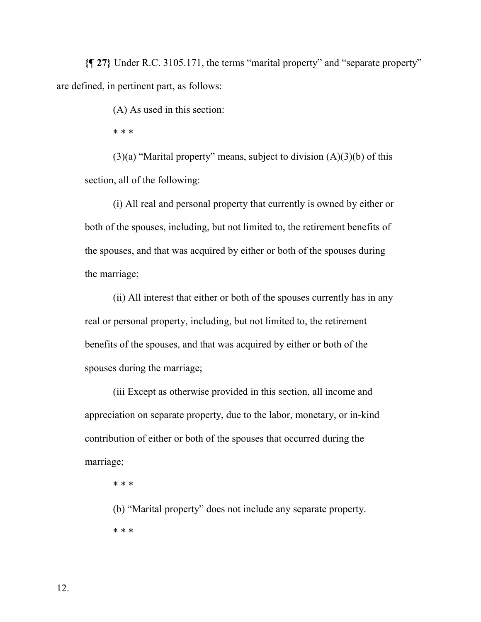**{¶ 27}** Under R.C. 3105.171, the terms "marital property" and "separate property" are defined, in pertinent part, as follows:

(A) As used in this section:

\* \* \*

(3)(a) "Marital property" means, subject to division  $(A)(3)(b)$  of this section, all of the following:

(i) All real and personal property that currently is owned by either or both of the spouses, including, but not limited to, the retirement benefits of the spouses, and that was acquired by either or both of the spouses during the marriage;

(ii) All interest that either or both of the spouses currently has in any real or personal property, including, but not limited to, the retirement benefits of the spouses, and that was acquired by either or both of the spouses during the marriage;

(iii Except as otherwise provided in this section, all income and appreciation on separate property, due to the labor, monetary, or in-kind contribution of either or both of the spouses that occurred during the marriage;

\* \* \*

(b) "Marital property" does not include any separate property. \* \* \*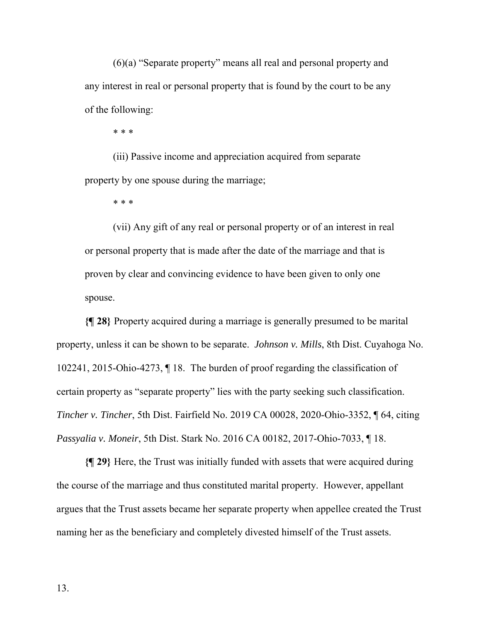(6)(a) "Separate property" means all real and personal property and any interest in real or personal property that is found by the court to be any of the following:

\* \* \*

(iii) Passive income and appreciation acquired from separate property by one spouse during the marriage;

\* \* \*

(vii) Any gift of any real or personal property or of an interest in real or personal property that is made after the date of the marriage and that is proven by clear and convincing evidence to have been given to only one spouse.

**{¶ 28}** Property acquired during a marriage is generally presumed to be marital property, unless it can be shown to be separate. *Johnson v. Mills*, 8th Dist. Cuyahoga No. 102241, 2015-Ohio-4273, ¶ 18. The burden of proof regarding the classification of certain property as "separate property" lies with the party seeking such classification. *Tincher v. Tincher*, 5th Dist. Fairfield No. 2019 CA 00028, 2020-Ohio-3352, ¶ 64, citing *Passyalia v. Moneir*, 5th Dist. Stark No. 2016 CA 00182, 2017-Ohio-7033, ¶ 18.

**{¶ 29}** Here, the Trust was initially funded with assets that were acquired during the course of the marriage and thus constituted marital property. However, appellant argues that the Trust assets became her separate property when appellee created the Trust naming her as the beneficiary and completely divested himself of the Trust assets.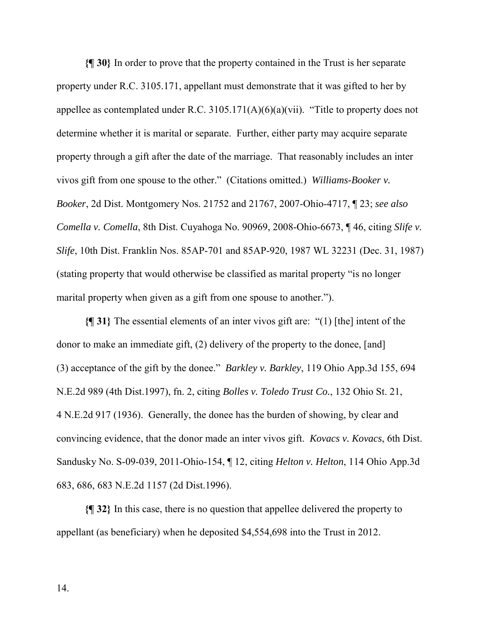**{¶ 30}** In order to prove that the property contained in the Trust is her separate property under R.C. 3105.171, appellant must demonstrate that it was gifted to her by appellee as contemplated under R.C.  $3105.171(A)(6)(a)(vii)$ . "Title to property does not determine whether it is marital or separate. Further, either party may acquire separate property through a gift after the date of the marriage. That reasonably includes an inter vivos gift from one spouse to the other." (Citations omitted.) *Williams-Booker v. Booker*, 2d Dist. Montgomery Nos. 21752 and 21767, 2007-Ohio-4717, ¶ 23; *see also Comella v. Comella*, 8th Dist. Cuyahoga No. 90969, 2008-Ohio-6673, ¶ 46, citing *Slife v. Slife*, 10th Dist. Franklin Nos. 85AP-701 and 85AP-920, 1987 WL 32231 (Dec. 31, 1987) (stating property that would otherwise be classified as marital property "is no longer marital property when given as a gift from one spouse to another.").

**{¶ 31}** The essential elements of an inter vivos gift are: "(1) [the] intent of the donor to make an immediate gift, (2) delivery of the property to the donee, [and] (3) acceptance of the gift by the donee." *Barkley v. Barkley*, 119 Ohio App.3d 155, 694 N.E.2d 989 (4th Dist.1997), fn. 2, citing *Bolles v. Toledo Trust Co.*, 132 Ohio St. 21, 4 N.E.2d 917 (1936). Generally, the donee has the burden of showing, by clear and convincing evidence, that the donor made an inter vivos gift. *Kovacs v. Kovacs*, 6th Dist. Sandusky No. S-09-039, 2011-Ohio-154, ¶ 12, citing *Helton v. Helton*, 114 Ohio App.3d 683, 686, 683 N.E.2d 1157 (2d Dist.1996).

**{¶ 32}** In this case, there is no question that appellee delivered the property to appellant (as beneficiary) when he deposited \$4,554,698 into the Trust in 2012.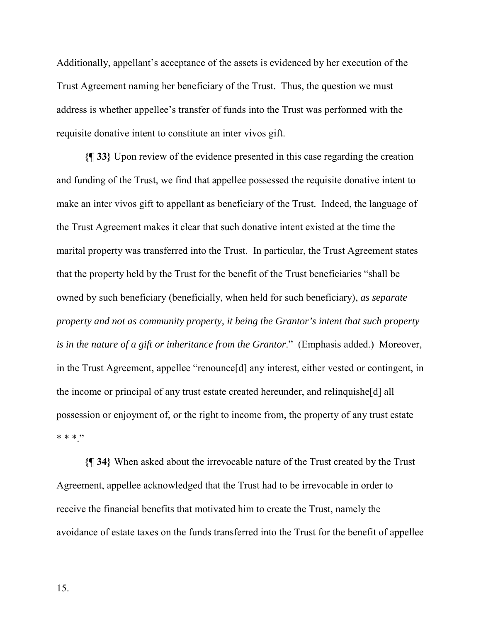Additionally, appellant's acceptance of the assets is evidenced by her execution of the Trust Agreement naming her beneficiary of the Trust. Thus, the question we must address is whether appellee's transfer of funds into the Trust was performed with the requisite donative intent to constitute an inter vivos gift.

**{¶ 33}** Upon review of the evidence presented in this case regarding the creation and funding of the Trust, we find that appellee possessed the requisite donative intent to make an inter vivos gift to appellant as beneficiary of the Trust. Indeed, the language of the Trust Agreement makes it clear that such donative intent existed at the time the marital property was transferred into the Trust. In particular, the Trust Agreement states that the property held by the Trust for the benefit of the Trust beneficiaries "shall be owned by such beneficiary (beneficially, when held for such beneficiary), *as separate property and not as community property, it being the Grantor's intent that such property is in the nature of a gift or inheritance from the Grantor*." (Emphasis added.) Moreover, in the Trust Agreement, appellee "renounce[d] any interest, either vested or contingent, in the income or principal of any trust estate created hereunder, and relinquishe[d] all possession or enjoyment of, or the right to income from, the property of any trust estate \* \* \* "

**{¶ 34}** When asked about the irrevocable nature of the Trust created by the Trust Agreement, appellee acknowledged that the Trust had to be irrevocable in order to receive the financial benefits that motivated him to create the Trust, namely the avoidance of estate taxes on the funds transferred into the Trust for the benefit of appellee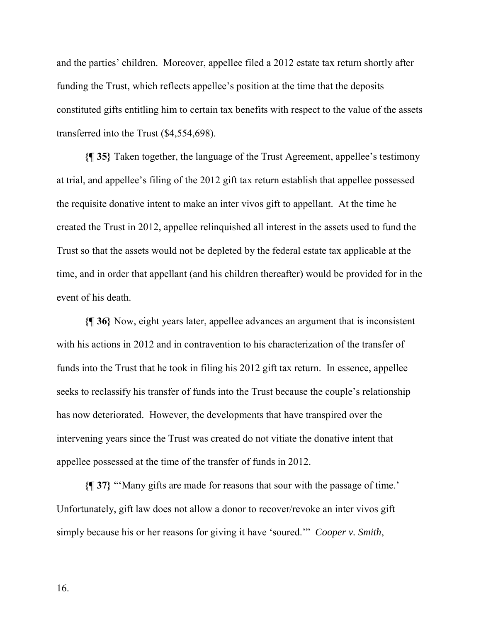and the parties' children. Moreover, appellee filed a 2012 estate tax return shortly after funding the Trust, which reflects appellee's position at the time that the deposits constituted gifts entitling him to certain tax benefits with respect to the value of the assets transferred into the Trust (\$4,554,698).

**{¶ 35}** Taken together, the language of the Trust Agreement, appellee's testimony at trial, and appellee's filing of the 2012 gift tax return establish that appellee possessed the requisite donative intent to make an inter vivos gift to appellant. At the time he created the Trust in 2012, appellee relinquished all interest in the assets used to fund the Trust so that the assets would not be depleted by the federal estate tax applicable at the time, and in order that appellant (and his children thereafter) would be provided for in the event of his death.

**{¶ 36}** Now, eight years later, appellee advances an argument that is inconsistent with his actions in 2012 and in contravention to his characterization of the transfer of funds into the Trust that he took in filing his 2012 gift tax return. In essence, appellee seeks to reclassify his transfer of funds into the Trust because the couple's relationship has now deteriorated. However, the developments that have transpired over the intervening years since the Trust was created do not vitiate the donative intent that appellee possessed at the time of the transfer of funds in 2012.

**{¶ 37}** "'Many gifts are made for reasons that sour with the passage of time.' Unfortunately, gift law does not allow a donor to recover/revoke an inter vivos gift simply because his or her reasons for giving it have 'soured.'" *Cooper v. Smith*,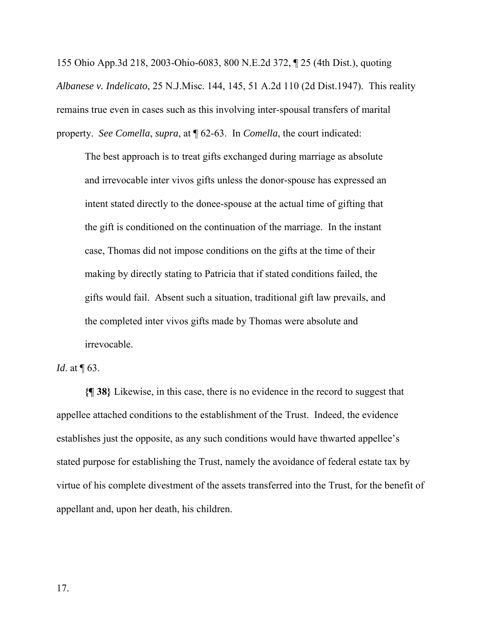155 Ohio App.3d 218, 2003-Ohio-6083, 800 N.E.2d 372, ¶ 25 (4th Dist.), quoting *Albanese v. Indelicato*, 25 N.J.Misc. 144, 145, 51 A.2d 110 (2d Dist.1947). This reality remains true even in cases such as this involving inter-spousal transfers of marital property. *See Comella*, *supra*, at ¶ 62-63. In *Comella*, the court indicated:

The best approach is to treat gifts exchanged during marriage as absolute and irrevocable inter vivos gifts unless the donor-spouse has expressed an intent stated directly to the donee-spouse at the actual time of gifting that the gift is conditioned on the continuation of the marriage. In the instant case, Thomas did not impose conditions on the gifts at the time of their making by directly stating to Patricia that if stated conditions failed, the gifts would fail. Absent such a situation, traditional gift law prevails, and the completed inter vivos gifts made by Thomas were absolute and irrevocable.

*Id.* at  $\P$  63.

**{¶ 38}** Likewise, in this case, there is no evidence in the record to suggest that appellee attached conditions to the establishment of the Trust. Indeed, the evidence establishes just the opposite, as any such conditions would have thwarted appellee's stated purpose for establishing the Trust, namely the avoidance of federal estate tax by virtue of his complete divestment of the assets transferred into the Trust, for the benefit of appellant and, upon her death, his children.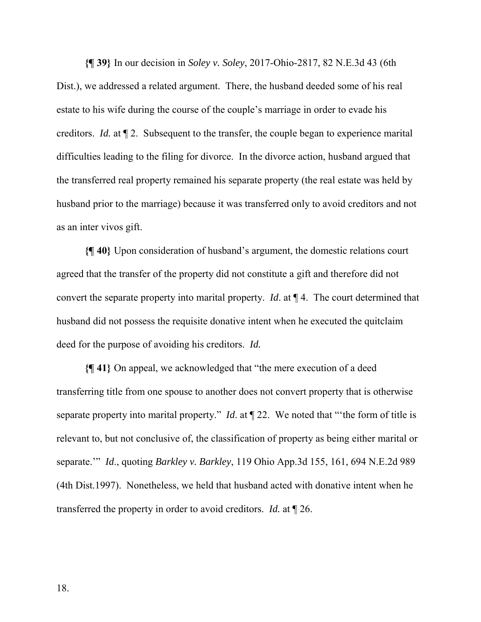**{¶ 39}** In our decision in *Soley v. Soley*, 2017-Ohio-2817, 82 N.E.3d 43 (6th Dist.), we addressed a related argument. There, the husband deeded some of his real estate to his wife during the course of the couple's marriage in order to evade his creditors. *Id.* at ¶ 2. Subsequent to the transfer, the couple began to experience marital difficulties leading to the filing for divorce. In the divorce action, husband argued that the transferred real property remained his separate property (the real estate was held by husband prior to the marriage) because it was transferred only to avoid creditors and not as an inter vivos gift.

**{¶ 40}** Upon consideration of husband's argument, the domestic relations court agreed that the transfer of the property did not constitute a gift and therefore did not convert the separate property into marital property. *Id*. at ¶ 4. The court determined that husband did not possess the requisite donative intent when he executed the quitclaim deed for the purpose of avoiding his creditors. *Id.*

**{¶ 41}** On appeal, we acknowledged that "the mere execution of a deed transferring title from one spouse to another does not convert property that is otherwise separate property into marital property." *Id*. at ¶ 22. We noted that "'the form of title is relevant to, but not conclusive of, the classification of property as being either marital or separate.'" *Id*., quoting *Barkley v. Barkley*, 119 Ohio App.3d 155, 161, 694 N.E.2d 989 (4th Dist.1997). Nonetheless, we held that husband acted with donative intent when he transferred the property in order to avoid creditors. *Id.* at ¶ 26.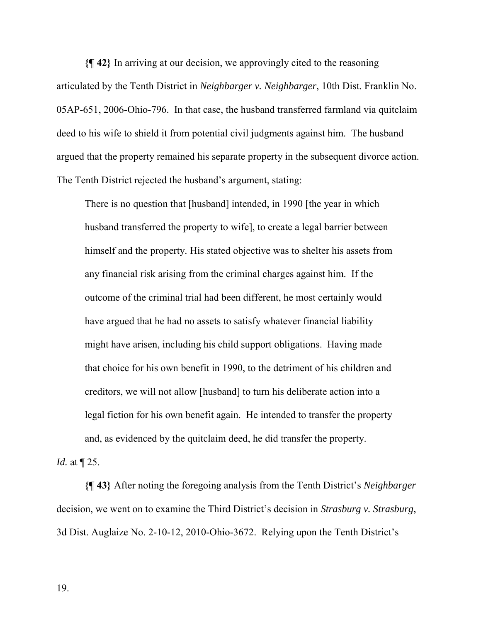**{¶ 42}** In arriving at our decision, we approvingly cited to the reasoning articulated by the Tenth District in *Neighbarger v. Neighbarger*, 10th Dist. Franklin No. 05AP-651, 2006-Ohio-796. In that case, the husband transferred farmland via quitclaim deed to his wife to shield it from potential civil judgments against him. The husband argued that the property remained his separate property in the subsequent divorce action. The Tenth District rejected the husband's argument, stating:

There is no question that [husband] intended, in 1990 [the year in which husband transferred the property to wife], to create a legal barrier between himself and the property. His stated objective was to shelter his assets from any financial risk arising from the criminal charges against him. If the outcome of the criminal trial had been different, he most certainly would have argued that he had no assets to satisfy whatever financial liability might have arisen, including his child support obligations. Having made that choice for his own benefit in 1990, to the detriment of his children and creditors, we will not allow [husband] to turn his deliberate action into a legal fiction for his own benefit again. He intended to transfer the property and, as evidenced by the quitclaim deed, he did transfer the property.

*Id.* at ¶ 25.

**{¶ 43}** After noting the foregoing analysis from the Tenth District's *Neighbarger* decision, we went on to examine the Third District's decision in *Strasburg v. Strasburg*, 3d Dist. Auglaize No. 2-10-12, 2010-Ohio-3672. Relying upon the Tenth District's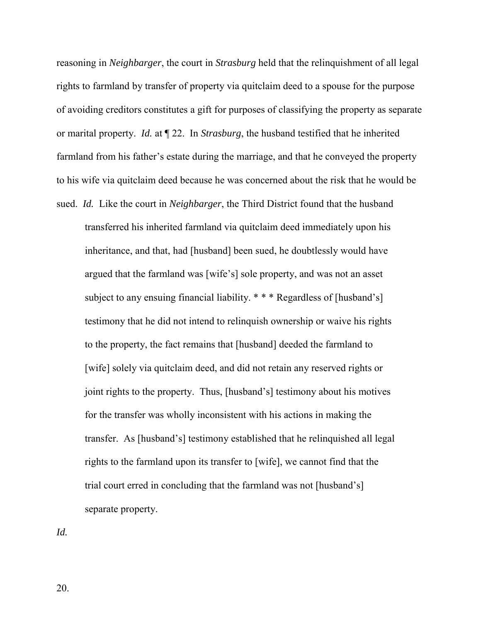reasoning in *Neighbarger*, the court in *Strasburg* held that the relinquishment of all legal rights to farmland by transfer of property via quitclaim deed to a spouse for the purpose of avoiding creditors constitutes a gift for purposes of classifying the property as separate or marital property. *Id.* at ¶ 22. In *Strasburg*, the husband testified that he inherited farmland from his father's estate during the marriage, and that he conveyed the property to his wife via quitclaim deed because he was concerned about the risk that he would be sued. *Id.* Like the court in *Neighbarger*, the Third District found that the husband

transferred his inherited farmland via quitclaim deed immediately upon his inheritance, and that, had [husband] been sued, he doubtlessly would have argued that the farmland was [wife's] sole property, and was not an asset subject to any ensuing financial liability. \* \* \* Regardless of [husband's] testimony that he did not intend to relinquish ownership or waive his rights to the property, the fact remains that [husband] deeded the farmland to [wife] solely via quitclaim deed, and did not retain any reserved rights or joint rights to the property. Thus, [husband's] testimony about his motives for the transfer was wholly inconsistent with his actions in making the transfer. As [husband's] testimony established that he relinquished all legal rights to the farmland upon its transfer to [wife], we cannot find that the trial court erred in concluding that the farmland was not [husband's] separate property.

*Id.*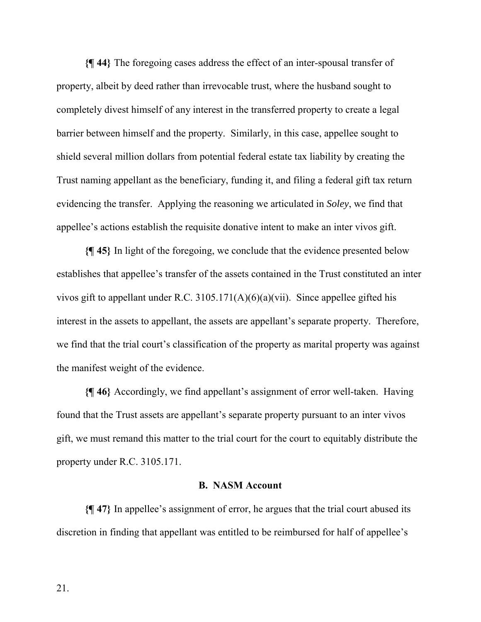**{¶ 44}** The foregoing cases address the effect of an inter-spousal transfer of property, albeit by deed rather than irrevocable trust, where the husband sought to completely divest himself of any interest in the transferred property to create a legal barrier between himself and the property. Similarly, in this case, appellee sought to shield several million dollars from potential federal estate tax liability by creating the Trust naming appellant as the beneficiary, funding it, and filing a federal gift tax return evidencing the transfer. Applying the reasoning we articulated in *Soley*, we find that appellee's actions establish the requisite donative intent to make an inter vivos gift.

**{¶ 45}** In light of the foregoing, we conclude that the evidence presented below establishes that appellee's transfer of the assets contained in the Trust constituted an inter vivos gift to appellant under R.C. 3105.171(A)(6)(a)(vii). Since appellee gifted his interest in the assets to appellant, the assets are appellant's separate property. Therefore, we find that the trial court's classification of the property as marital property was against the manifest weight of the evidence.

**{¶ 46}** Accordingly, we find appellant's assignment of error well-taken. Having found that the Trust assets are appellant's separate property pursuant to an inter vivos gift, we must remand this matter to the trial court for the court to equitably distribute the property under R.C. 3105.171.

## **B. NASM Account**

**{¶ 47}** In appellee's assignment of error, he argues that the trial court abused its discretion in finding that appellant was entitled to be reimbursed for half of appellee's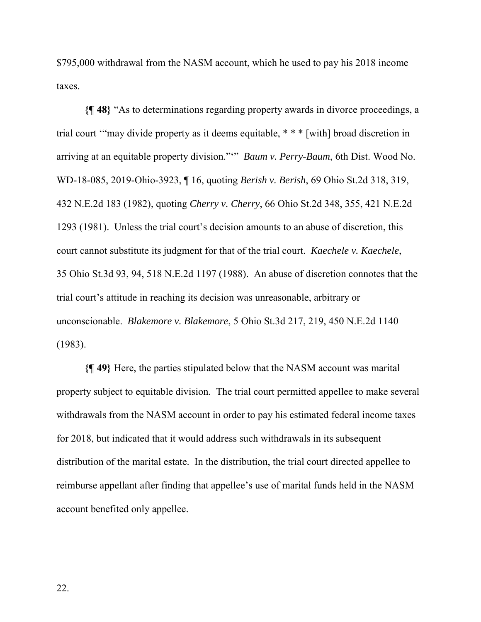\$795,000 withdrawal from the NASM account, which he used to pay his 2018 income taxes.

**{¶ 48}** "As to determinations regarding property awards in divorce proceedings, a trial court '"may divide property as it deems equitable, \* \* \* [with] broad discretion in arriving at an equitable property division."'" *Baum v. Perry-Baum*, 6th Dist. Wood No. WD-18-085, 2019-Ohio-3923, ¶ 16, quoting *Berish v. Berish*, 69 Ohio St.2d 318, 319, 432 N.E.2d 183 (1982), quoting *Cherry v. Cherry*, 66 Ohio St.2d 348, 355, 421 N.E.2d 1293 (1981). Unless the trial court's decision amounts to an abuse of discretion, this court cannot substitute its judgment for that of the trial court. *Kaechele v. Kaechele*, 35 Ohio St.3d 93, 94, 518 N.E.2d 1197 (1988). An abuse of discretion connotes that the trial court's attitude in reaching its decision was unreasonable, arbitrary or unconscionable. *Blakemore v. Blakemore*, 5 Ohio St.3d 217, 219, 450 N.E.2d 1140 (1983).

**{¶ 49}** Here, the parties stipulated below that the NASM account was marital property subject to equitable division. The trial court permitted appellee to make several withdrawals from the NASM account in order to pay his estimated federal income taxes for 2018, but indicated that it would address such withdrawals in its subsequent distribution of the marital estate. In the distribution, the trial court directed appellee to reimburse appellant after finding that appellee's use of marital funds held in the NASM account benefited only appellee.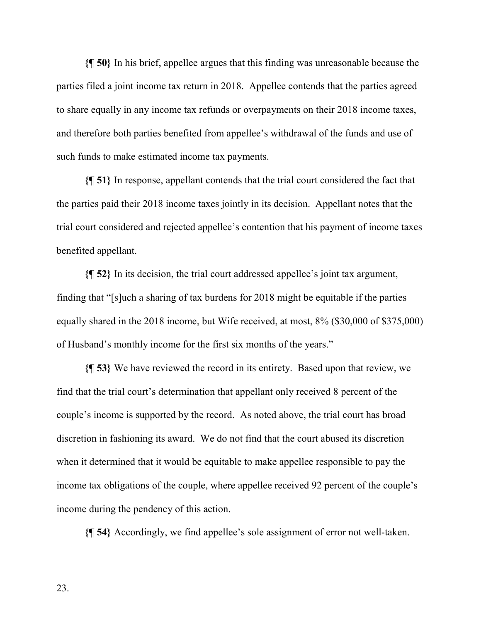**{¶ 50}** In his brief, appellee argues that this finding was unreasonable because the parties filed a joint income tax return in 2018. Appellee contends that the parties agreed to share equally in any income tax refunds or overpayments on their 2018 income taxes, and therefore both parties benefited from appellee's withdrawal of the funds and use of such funds to make estimated income tax payments.

**{¶ 51}** In response, appellant contends that the trial court considered the fact that the parties paid their 2018 income taxes jointly in its decision. Appellant notes that the trial court considered and rejected appellee's contention that his payment of income taxes benefited appellant.

**{¶ 52}** In its decision, the trial court addressed appellee's joint tax argument, finding that "[s]uch a sharing of tax burdens for 2018 might be equitable if the parties equally shared in the 2018 income, but Wife received, at most, 8% (\$30,000 of \$375,000) of Husband's monthly income for the first six months of the years."

**{¶ 53}** We have reviewed the record in its entirety. Based upon that review, we find that the trial court's determination that appellant only received 8 percent of the couple's income is supported by the record. As noted above, the trial court has broad discretion in fashioning its award. We do not find that the court abused its discretion when it determined that it would be equitable to make appellee responsible to pay the income tax obligations of the couple, where appellee received 92 percent of the couple's income during the pendency of this action.

**{¶ 54}** Accordingly, we find appellee's sole assignment of error not well-taken.